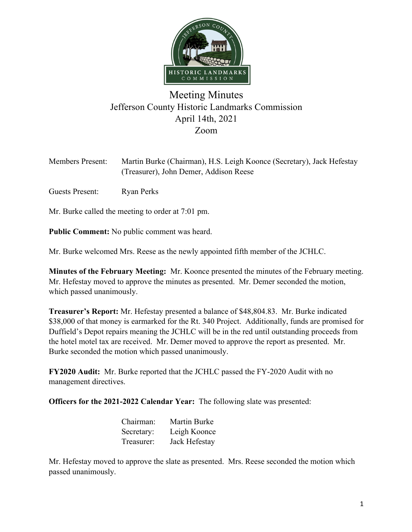

## Meeting Minutes Jefferson County Historic Landmarks Commission April 14th, 2021 Zoom

| <b>Members Present:</b> | Martin Burke (Chairman), H.S. Leigh Koonce (Secretary), Jack Hefestay |
|-------------------------|-----------------------------------------------------------------------|
|                         | (Treasurer), John Demer, Addison Reese                                |

Guests Present: Ryan Perks

Mr. Burke called the meeting to order at 7:01 pm.

**Public Comment:** No public comment was heard.

Mr. Burke welcomed Mrs. Reese as the newly appointed fifth member of the JCHLC.

**Minutes of the February Meeting:** Mr. Koonce presented the minutes of the February meeting. Mr. Hefestay moved to approve the minutes as presented. Mr. Demer seconded the motion, which passed unanimously.

**Treasurer's Report:** Mr. Hefestay presented a balance of \$48,804.83. Mr. Burke indicated \$38,000 of that money is earmarked for the Rt. 340 Project. Additionally, funds are promised for Duffield's Depot repairs meaning the JCHLC will be in the red until outstanding proceeds from the hotel motel tax are received. Mr. Demer moved to approve the report as presented. Mr. Burke seconded the motion which passed unanimously.

**FY2020 Audit:** Mr. Burke reported that the JCHLC passed the FY-2020 Audit with no management directives.

**Officers for the 2021-2022 Calendar Year:** The following slate was presented:

Chairman: Martin Burke Secretary: Leigh Koonce Treasurer: Jack Hefestay

Mr. Hefestay moved to approve the slate as presented. Mrs. Reese seconded the motion which passed unanimously.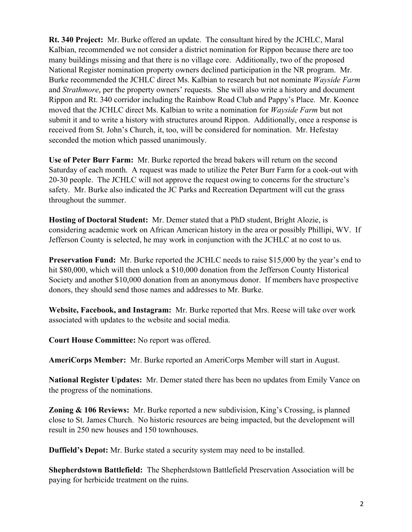**Rt. 340 Project:** Mr. Burke offered an update. The consultant hired by the JCHLC, Maral Kalbian, recommended we not consider a district nomination for Rippon because there are too many buildings missing and that there is no village core. Additionally, two of the proposed National Register nomination property owners declined participation in the NR program. Mr. Burke recommended the JCHLC direct Ms. Kalbian to research but not nominate *Wayside Farm* and *Strathmore*, per the property owners' requests. She will also write a history and document Rippon and Rt. 340 corridor including the Rainbow Road Club and Pappy's Place. Mr. Koonce moved that the JCHLC direct Ms. Kalbian to write a nomination for *Wayside Farm* but not submit it and to write a history with structures around Rippon. Additionally, once a response is received from St. John's Church, it, too, will be considered for nomination. Mr. Hefestay seconded the motion which passed unanimously.

**Use of Peter Burr Farm:** Mr. Burke reported the bread bakers will return on the second Saturday of each month. A request was made to utilize the Peter Burr Farm for a cook-out with 20-30 people. The JCHLC will not approve the request owing to concerns for the structure's safety. Mr. Burke also indicated the JC Parks and Recreation Department will cut the grass throughout the summer.

**Hosting of Doctoral Student:** Mr. Demer stated that a PhD student, Bright Alozie, is considering academic work on African American history in the area or possibly Phillipi, WV. If Jefferson County is selected, he may work in conjunction with the JCHLC at no cost to us.

**Preservation Fund:** Mr. Burke reported the JCHLC needs to raise \$15,000 by the year's end to hit \$80,000, which will then unlock a \$10,000 donation from the Jefferson County Historical Society and another \$10,000 donation from an anonymous donor. If members have prospective donors, they should send those names and addresses to Mr. Burke.

**Website, Facebook, and Instagram:** Mr. Burke reported that Mrs. Reese will take over work associated with updates to the website and social media.

**Court House Committee:** No report was offered.

**AmeriCorps Member:** Mr. Burke reported an AmeriCorps Member will start in August.

**National Register Updates:** Mr. Demer stated there has been no updates from Emily Vance on the progress of the nominations.

**Zoning & 106 Reviews:** Mr. Burke reported a new subdivision, King's Crossing, is planned close to St. James Church. No historic resources are being impacted, but the development will result in 250 new houses and 150 townhouses.

**Duffield's Depot:** Mr. Burke stated a security system may need to be installed.

**Shepherdstown Battlefield:** The Shepherdstown Battlefield Preservation Association will be paying for herbicide treatment on the ruins.